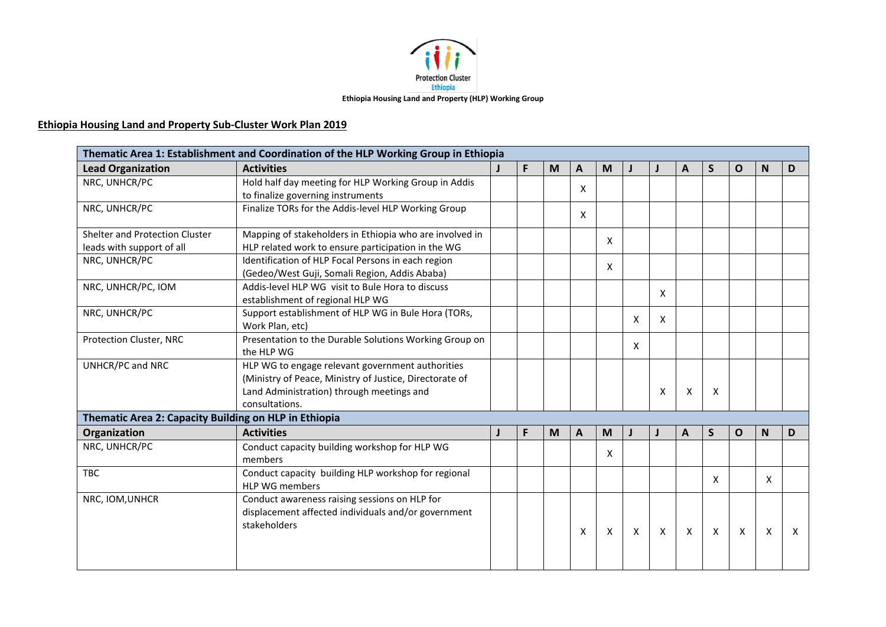

## **Ethiopia Housing Land and Property Sub-Cluster Work Plan 2019**

|                                                             | Thematic Area 1: Establishment and Coordination of the HLP Working Group in Ethiopia                                                                                       |    |   |   |                           |              |   |                           |              |   |                           |   |
|-------------------------------------------------------------|----------------------------------------------------------------------------------------------------------------------------------------------------------------------------|----|---|---|---------------------------|--------------|---|---------------------------|--------------|---|---------------------------|---|
| <b>Lead Organization</b>                                    | <b>Activities</b>                                                                                                                                                          | F. | M | A | M                         |              |   | A                         | S.           | O | <b>N</b>                  | D |
| NRC, UNHCR/PC                                               | Hold half day meeting for HLP Working Group in Addis<br>to finalize governing instruments                                                                                  |    |   | X |                           |              |   |                           |              |   |                           |   |
| NRC, UNHCR/PC                                               | Finalize TORs for the Addis-level HLP Working Group                                                                                                                        |    |   | X |                           |              |   |                           |              |   |                           |   |
| Shelter and Protection Cluster<br>leads with support of all | Mapping of stakeholders in Ethiopia who are involved in<br>HLP related work to ensure participation in the WG                                                              |    |   |   | X                         |              |   |                           |              |   |                           |   |
| NRC, UNHCR/PC                                               | Identification of HLP Focal Persons in each region<br>(Gedeo/West Guji, Somali Region, Addis Ababa)                                                                        |    |   |   | X                         |              |   |                           |              |   |                           |   |
| NRC, UNHCR/PC, IOM                                          | Addis-level HLP WG visit to Bule Hora to discuss<br>establishment of regional HLP WG                                                                                       |    |   |   |                           |              | X |                           |              |   |                           |   |
| NRC, UNHCR/PC                                               | Support establishment of HLP WG in Bule Hora (TORs,<br>Work Plan, etc)                                                                                                     |    |   |   |                           | X            | X |                           |              |   |                           |   |
| Protection Cluster, NRC                                     | Presentation to the Durable Solutions Working Group on<br>the HLP WG                                                                                                       |    |   |   |                           | X            |   |                           |              |   |                           |   |
| UNHCR/PC and NRC                                            | HLP WG to engage relevant government authorities<br>(Ministry of Peace, Ministry of Justice, Directorate of<br>Land Administration) through meetings and<br>consultations. |    |   |   |                           |              | X | X                         | X            |   |                           |   |
| Thematic Area 2: Capacity Building on HLP in Ethiopia       |                                                                                                                                                                            |    |   |   |                           |              |   |                           |              |   |                           |   |
| Organization                                                | <b>Activities</b>                                                                                                                                                          | F  | M | A | M                         |              |   | A                         | S            | O | N                         | D |
| NRC, UNHCR/PC                                               | Conduct capacity building workshop for HLP WG<br>members                                                                                                                   |    |   |   | X                         |              |   |                           |              |   |                           |   |
| <b>TBC</b>                                                  | Conduct capacity building HLP workshop for regional<br><b>HLP WG members</b>                                                                                               |    |   |   |                           |              |   |                           | X            |   | X                         |   |
| NRC, IOM, UNHCR                                             | Conduct awareness raising sessions on HLP for<br>displacement affected individuals and/or government<br>stakeholders                                                       |    |   | X | $\boldsymbol{\mathsf{X}}$ | $\mathsf{X}$ | X | $\boldsymbol{\mathsf{X}}$ | $\mathsf{X}$ | X | $\boldsymbol{\mathsf{X}}$ | X |